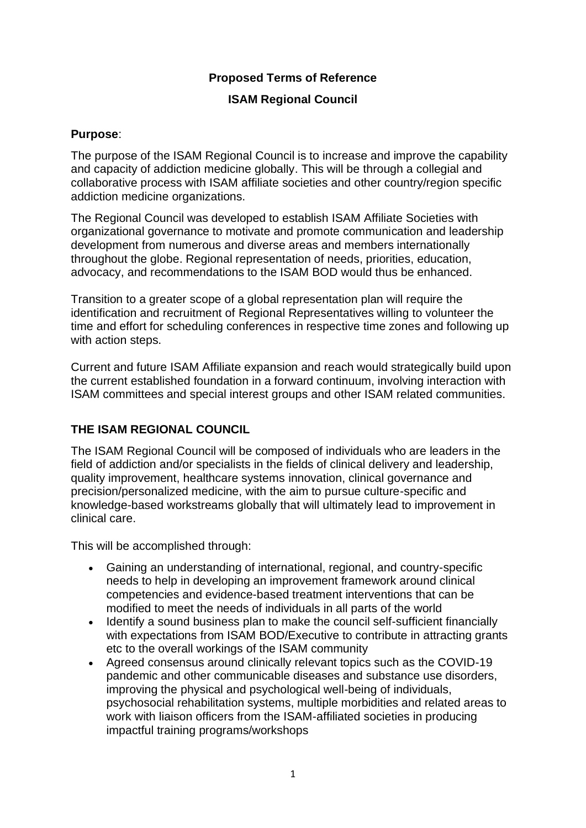### **Proposed Terms of Reference**

#### **ISAM Regional Council**

#### **Purpose**:

The purpose of the ISAM Regional Council is to increase and improve the capability and capacity of addiction medicine globally. This will be through a collegial and collaborative process with ISAM affiliate societies and other country/region specific addiction medicine organizations.

The Regional Council was developed to establish ISAM Affiliate Societies with organizational governance to motivate and promote communication and leadership development from numerous and diverse areas and members internationally throughout the globe. Regional representation of needs, priorities, education, advocacy, and recommendations to the ISAM BOD would thus be enhanced.

Transition to a greater scope of a global representation plan will require the identification and recruitment of Regional Representatives willing to volunteer the time and effort for scheduling conferences in respective time zones and following up with action steps.

Current and future ISAM Affiliate expansion and reach would strategically build upon the current established foundation in a forward continuum, involving interaction with ISAM committees and special interest groups and other ISAM related communities.

#### **THE ISAM REGIONAL COUNCIL**

The ISAM Regional Council will be composed of individuals who are leaders in the field of addiction and/or specialists in the fields of clinical delivery and leadership, quality improvement, healthcare systems innovation, clinical governance and precision/personalized medicine, with the aim to pursue culture-specific and knowledge-based workstreams globally that will ultimately lead to improvement in clinical care.

This will be accomplished through:

- Gaining an understanding of international, regional, and country-specific needs to help in developing an improvement framework around clinical competencies and evidence-based treatment interventions that can be modified to meet the needs of individuals in all parts of the world
- Identify a sound business plan to make the council self-sufficient financially with expectations from ISAM BOD/Executive to contribute in attracting grants etc to the overall workings of the ISAM community
- Agreed consensus around clinically relevant topics such as the COVID-19 pandemic and other communicable diseases and substance use disorders, improving the physical and psychological well-being of individuals, psychosocial rehabilitation systems, multiple morbidities and related areas to work with liaison officers from the ISAM-affiliated societies in producing impactful training programs/workshops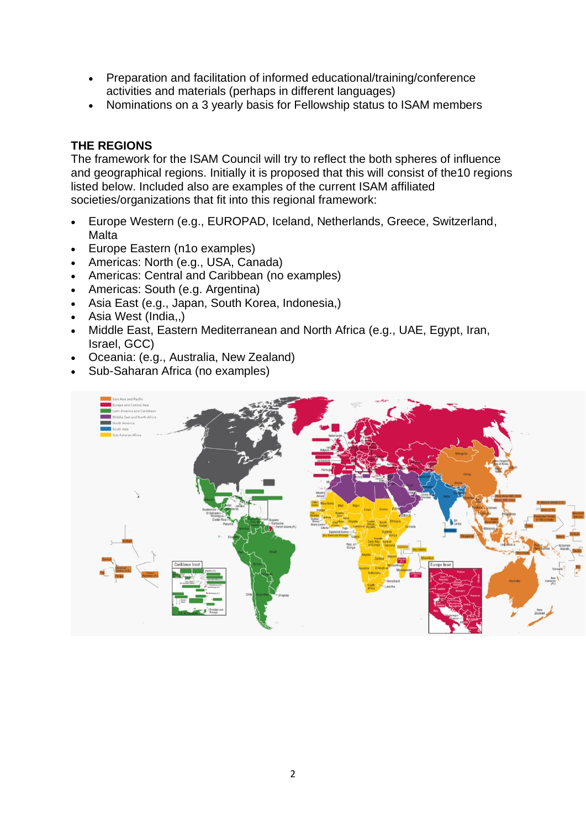- Preparation and facilitation of informed educational/training/conference activities and materials (perhaps in different languages)
- Nominations on a 3 yearly basis for Fellowship status to ISAM members

### **THE REGIONS**

The framework for the ISAM Council will try to reflect the both spheres of influence and geographical regions. Initially it is proposed that this will consist of the10 regions listed below. Included also are examples of the current ISAM affiliated societies/organizations that fit into this regional framework:

- Europe Western (e.g., EUROPAD, Iceland, Netherlands, Greece, Switzerland, Malta
- Europe Eastern (n1o examples)
- Americas: North (e.g., USA, Canada)
- Americas: Central and Caribbean (no examples)
- Americas: South (e.g. Argentina)
- Asia East (e.g., Japan, South Korea, Indonesia,)
- Asia West (India,,)
- Middle East, Eastern Mediterranean and North Africa (e.g., UAE, Egypt, Iran, Israel, GCC)
- Oceania: (e.g., Australia, New Zealand)
- Sub-Saharan Africa (no examples)

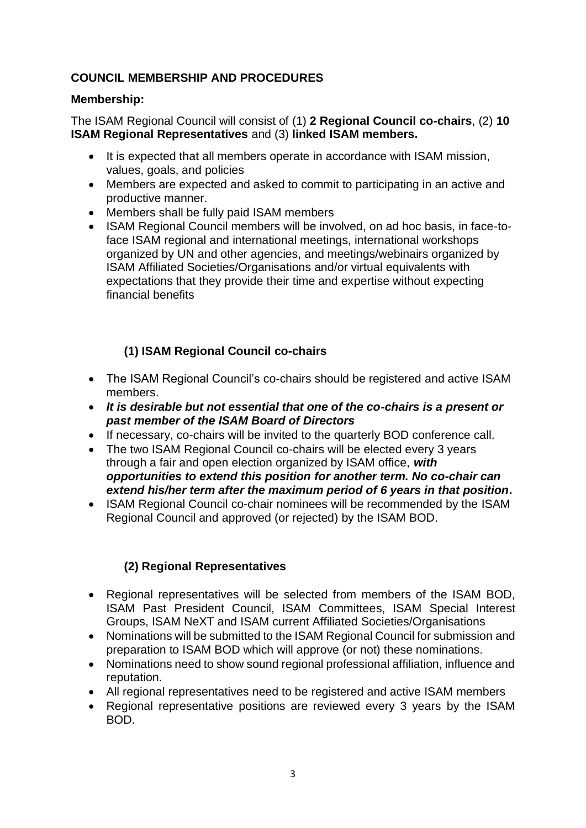# **COUNCIL MEMBERSHIP AND PROCEDURES**

# **Membership:**

The ISAM Regional Council will consist of (1) **2 Regional Council co-chairs**, (2) **10 ISAM Regional Representatives** and (3) **linked ISAM members.**

- It is expected that all members operate in accordance with ISAM mission, values, goals, and policies
- Members are expected and asked to commit to participating in an active and productive manner.
- Members shall be fully paid ISAM members
- ISAM Regional Council members will be involved, on ad hoc basis, in face-toface ISAM regional and international meetings, international workshops organized by UN and other agencies, and meetings/webinairs organized by ISAM Affiliated Societies/Organisations and/or virtual equivalents with expectations that they provide their time and expertise without expecting financial benefits

# **(1) ISAM Regional Council co-chairs**

- The ISAM Regional Council's co-chairs should be registered and active ISAM members.
- *It is desirable but not essential that one of the co-chairs is a present or past member of the ISAM Board of Directors*
- If necessary, co-chairs will be invited to the quarterly BOD conference call.
- The two ISAM Regional Council co-chairs will be elected every 3 years through a fair and open election organized by ISAM office, *with opportunities to extend this position for another term. No co-chair can extend his/her term after the maximum period of 6 years in that position.*
- ISAM Regional Council co-chair nominees will be recommended by the ISAM Regional Council and approved (or rejected) by the ISAM BOD.

# **(2) Regional Representatives**

- Regional representatives will be selected from members of the ISAM BOD, ISAM Past President Council, ISAM Committees, ISAM Special Interest Groups, ISAM NeXT and ISAM current Affiliated Societies/Organisations
- Nominations will be submitted to the ISAM Regional Council for submission and preparation to ISAM BOD which will approve (or not) these nominations.
- Nominations need to show sound regional professional affiliation, influence and reputation.
- All regional representatives need to be registered and active ISAM members
- Regional representative positions are reviewed every 3 years by the ISAM BOD.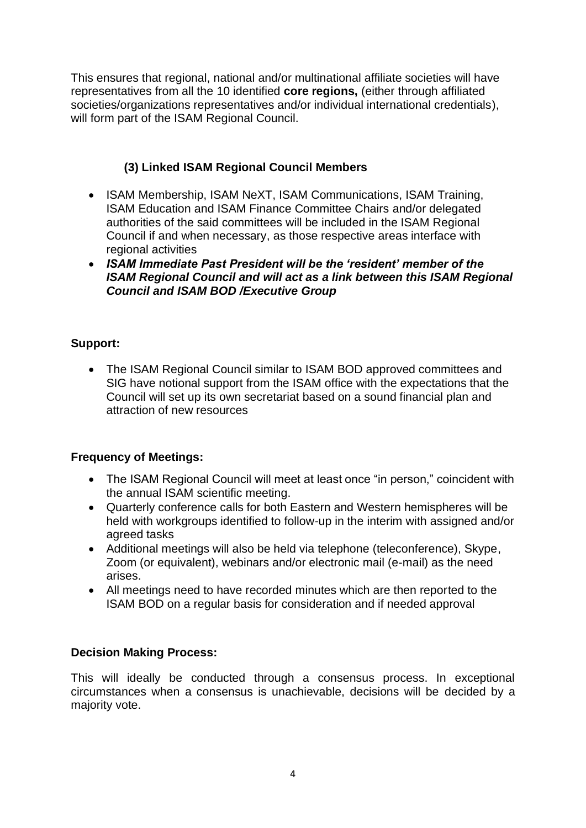This ensures that regional, national and/or multinational affiliate societies will have representatives from all the 10 identified **core regions,** (either through affiliated societies/organizations representatives and/or individual international credentials), will form part of the ISAM Regional Council.

# **(3) Linked ISAM Regional Council Members**

- ISAM Membership, ISAM NeXT, ISAM Communications, ISAM Training, ISAM Education and ISAM Finance Committee Chairs and/or delegated authorities of the said committees will be included in the ISAM Regional Council if and when necessary, as those respective areas interface with regional activities
- *ISAM Immediate Past President will be the 'resident' member of the ISAM Regional Council and will act as a link between this ISAM Regional Council and ISAM BOD /Executive Group*

# **Support:**

• The ISAM Regional Council similar to ISAM BOD approved committees and SIG have notional support from the ISAM office with the expectations that the Council will set up its own secretariat based on a sound financial plan and attraction of new resources

### **Frequency of Meetings:**

- The ISAM Regional Council will meet at least once "in person," coincident with the annual ISAM scientific meeting.
- Quarterly conference calls for both Eastern and Western hemispheres will be held with workgroups identified to follow-up in the interim with assigned and/or agreed tasks
- Additional meetings will also be held via telephone (teleconference), Skype, Zoom (or equivalent), webinars and/or electronic mail (e-mail) as the need arises.
- All meetings need to have recorded minutes which are then reported to the ISAM BOD on a regular basis for consideration and if needed approval

### **Decision Making Process:**

This will ideally be conducted through a consensus process. In exceptional circumstances when a consensus is unachievable, decisions will be decided by a majority vote.